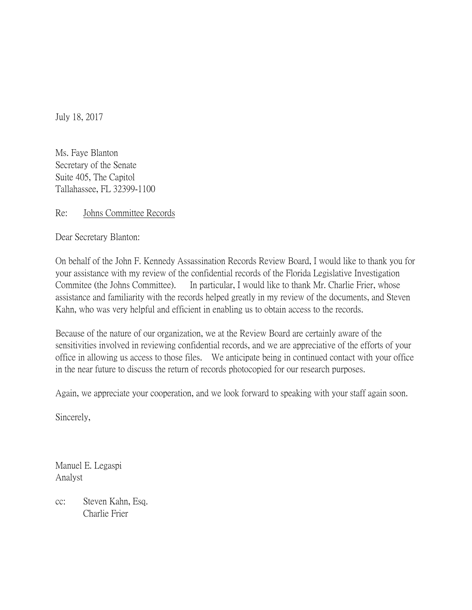July 18, 2017

Ms. Faye Blanton Secretary of the Senate Suite 405, The Capitol Tallahassee, FL 32399-1100

Re: Johns Committee Records

Dear Secretary Blanton:

On behalf of the John F. Kennedy Assassination Records Review Board, I would like to thank you for your assistance with my review of the confidential records of the Florida Legislative Investigation Commitee (the Johns Committee). In particular, I would like to thank Mr. Charlie Frier, whose assistance and familiarity with the records helped greatly in my review of the documents, and Steven Kahn, who was very helpful and efficient in enabling us to obtain access to the records.

Because of the nature of our organization, we at the Review Board are certainly aware of the sensitivities involved in reviewing confidential records, and we are appreciative of the efforts of your office in allowing us access to those files. We anticipate being in continued contact with your office in the near future to discuss the return of records photocopied for our research purposes.

Again, we appreciate your cooperation, and we look forward to speaking with your staff again soon.

Sincerely,

Manuel E. Legaspi Analyst

cc: Steven Kahn, Esq. Charlie Frier